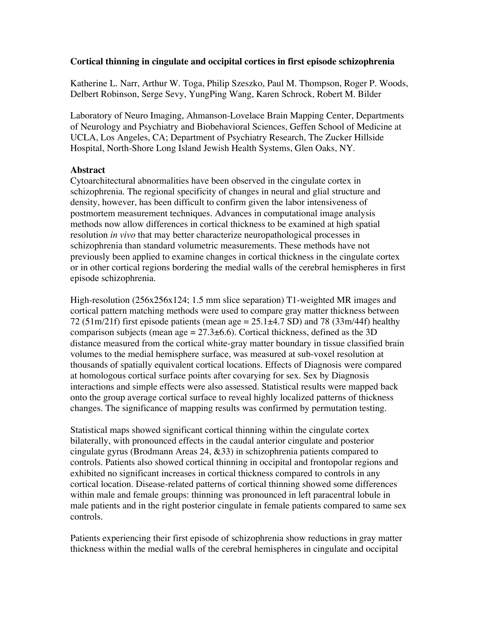## **Cortical thinning in cingulate and occipital cortices in first episode schizophrenia**

Katherine L. Narr, Arthur W. Toga, Philip Szeszko, Paul M. Thompson, Roger P. Woods, Delbert Robinson, Serge Sevy, YungPing Wang, Karen Schrock, Robert M. Bilder

Laboratory of Neuro Imaging, Ahmanson-Lovelace Brain Mapping Center, Departments of Neurology and Psychiatry and Biobehavioral Sciences, Geffen School of Medicine at UCLA, Los Angeles, CA; Department of Psychiatry Research, The Zucker Hillside Hospital, North-Shore Long Island Jewish Health Systems, Glen Oaks, NY.

## **Abstract**

Cytoarchitectural abnormalities have been observed in the cingulate cortex in schizophrenia. The regional specificity of changes in neural and glial structure and density, however, has been difficult to confirm given the labor intensiveness of postmortem measurement techniques. Advances in computational image analysis methods now allow differences in cortical thickness to be examined at high spatial resolution *in vivo* that may better characterize neuropathological processes in schizophrenia than standard volumetric measurements. These methods have not previously been applied to examine changes in cortical thickness in the cingulate cortex or in other cortical regions bordering the medial walls of the cerebral hemispheres in first episode schizophrenia.

High-resolution (256x256x124; 1.5 mm slice separation) T1-weighted MR images and cortical pattern matching methods were used to compare gray matter thickness between 72 (51m/21f) first episode patients (mean age  $= 25.1 \pm 4.7$  SD) and 78 (33m/44f) healthy comparison subjects (mean age =  $27.3\pm6.6$ ). Cortical thickness, defined as the 3D distance measured from the cortical white-gray matter boundary in tissue classified brain volumes to the medial hemisphere surface, was measured at sub-voxel resolution at thousands of spatially equivalent cortical locations. Effects of Diagnosis were compared at homologous cortical surface points after covarying for sex. Sex by Diagnosis interactions and simple effects were also assessed. Statistical results were mapped back onto the group average cortical surface to reveal highly localized patterns of thickness changes. The significance of mapping results was confirmed by permutation testing.

Statistical maps showed significant cortical thinning within the cingulate cortex bilaterally, with pronounced effects in the caudal anterior cingulate and posterior cingulate gyrus (Brodmann Areas 24, &33) in schizophrenia patients compared to controls. Patients also showed cortical thinning in occipital and frontopolar regions and exhibited no significant increases in cortical thickness compared to controls in any cortical location. Disease-related patterns of cortical thinning showed some differences within male and female groups: thinning was pronounced in left paracentral lobule in male patients and in the right posterior cingulate in female patients compared to same sex controls.

Patients experiencing their first episode of schizophrenia show reductions in gray matter thickness within the medial walls of the cerebral hemispheres in cingulate and occipital